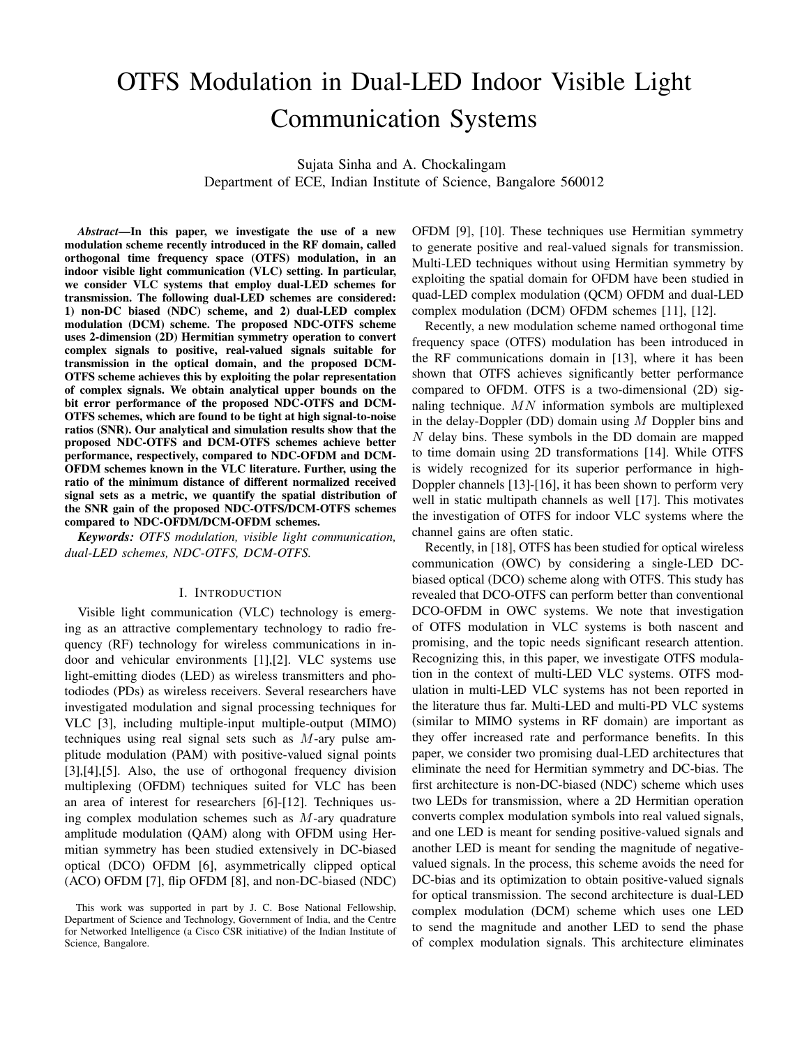# OTFS Modulation in Dual-LED Indoor Visible Light Communication Systems

Sujata Sinha and A. Chockalingam Department of ECE, Indian Institute of Science, Bangalore 560012

*Abstract*—In this paper, we investigate the use of a new modulation scheme recently introduced in the RF domain, called orthogonal time frequency space (OTFS) modulation, in an indoor visible light communication (VLC) setting. In particular, we consider VLC systems that employ dual-LED schemes for transmission. The following dual-LED schemes are considered: 1) non-DC biased (NDC) scheme, and 2) dual-LED complex modulation (DCM) scheme. The proposed NDC-OTFS scheme uses 2-dimension (2D) Hermitian symmetry operation to convert complex signals to positive, real-valued signals suitable for transmission in the optical domain, and the proposed DCM-OTFS scheme achieves this by exploiting the polar representation of complex signals. We obtain analytical upper bounds on the bit error performance of the proposed NDC-OTFS and DCM-OTFS schemes, which are found to be tight at high signal-to-noise ratios (SNR). Our analytical and simulation results show that the proposed NDC-OTFS and DCM-OTFS schemes achieve better performance, respectively, compared to NDC-OFDM and DCM-OFDM schemes known in the VLC literature. Further, using the ratio of the minimum distance of different normalized received signal sets as a metric, we quantify the spatial distribution of the SNR gain of the proposed NDC-OTFS/DCM-OTFS schemes compared to NDC-OFDM/DCM-OFDM schemes.

*Keywords: OTFS modulation, visible light communication, dual-LED schemes, NDC-OTFS, DCM-OTFS.*

## I. INTRODUCTION

Visible light communication (VLC) technology is emerging as an attractive complementary technology to radio frequency (RF) technology for wireless communications in indoor and vehicular environments [1],[2]. VLC systems use light-emitting diodes (LED) as wireless transmitters and photodiodes (PDs) as wireless receivers. Several researchers have investigated modulation and signal processing techniques for VLC [3], including multiple-input multiple-output (MIMO) techniques using real signal sets such as  $M$ -ary pulse amplitude modulation (PAM) with positive-valued signal points [3],[4],[5]. Also, the use of orthogonal frequency division multiplexing (OFDM) techniques suited for VLC has been an area of interest for researchers [6]-[12]. Techniques using complex modulation schemes such as  $M$ -ary quadrature amplitude modulation (QAM) along with OFDM using Hermitian symmetry has been studied extensively in DC-biased optical (DCO) OFDM [6], asymmetrically clipped optical (ACO) OFDM [7], flip OFDM [8], and non-DC-biased (NDC) OFDM [9], [10]. These techniques use Hermitian symmetry to generate positive and real-valued signals for transmission. Multi-LED techniques without using Hermitian symmetry by exploiting the spatial domain for OFDM have been studied in quad-LED complex modulation (QCM) OFDM and dual-LED complex modulation (DCM) OFDM schemes [11], [12].

Recently, a new modulation scheme named orthogonal time frequency space (OTFS) modulation has been introduced in the RF communications domain in [13], where it has been shown that OTFS achieves significantly better performance compared to OFDM. OTFS is a two-dimensional (2D) signaling technique.  $MN$  information symbols are multiplexed in the delay-Doppler (DD) domain using M Doppler bins and  $N$  delay bins. These symbols in the DD domain are mapped to time domain using 2D transformations [14]. While OTFS is widely recognized for its superior performance in high-Doppler channels [13]-[16], it has been shown to perform very well in static multipath channels as well [17]. This motivates the investigation of OTFS for indoor VLC systems where the channel gains are often static.

Recently, in [18], OTFS has been studied for optical wireless communication (OWC) by considering a single-LED DCbiased optical (DCO) scheme along with OTFS. This study has revealed that DCO-OTFS can perform better than conventional DCO-OFDM in OWC systems. We note that investigation of OTFS modulation in VLC systems is both nascent and promising, and the topic needs significant research attention. Recognizing this, in this paper, we investigate OTFS modulation in the context of multi-LED VLC systems. OTFS modulation in multi-LED VLC systems has not been reported in the literature thus far. Multi-LED and multi-PD VLC systems (similar to MIMO systems in RF domain) are important as they offer increased rate and performance benefits. In this paper, we consider two promising dual-LED architectures that eliminate the need for Hermitian symmetry and DC-bias. The first architecture is non-DC-biased (NDC) scheme which uses two LEDs for transmission, where a 2D Hermitian operation converts complex modulation symbols into real valued signals, and one LED is meant for sending positive-valued signals and another LED is meant for sending the magnitude of negativevalued signals. In the process, this scheme avoids the need for DC-bias and its optimization to obtain positive-valued signals for optical transmission. The second architecture is dual-LED complex modulation (DCM) scheme which uses one LED to send the magnitude and another LED to send the phase of complex modulation signals. This architecture eliminates

This work was supported in part by J. C. Bose National Fellowship, Department of Science and Technology, Government of India, and the Centre for Networked Intelligence (a Cisco CSR initiative) of the Indian Institute of Science, Bangalore.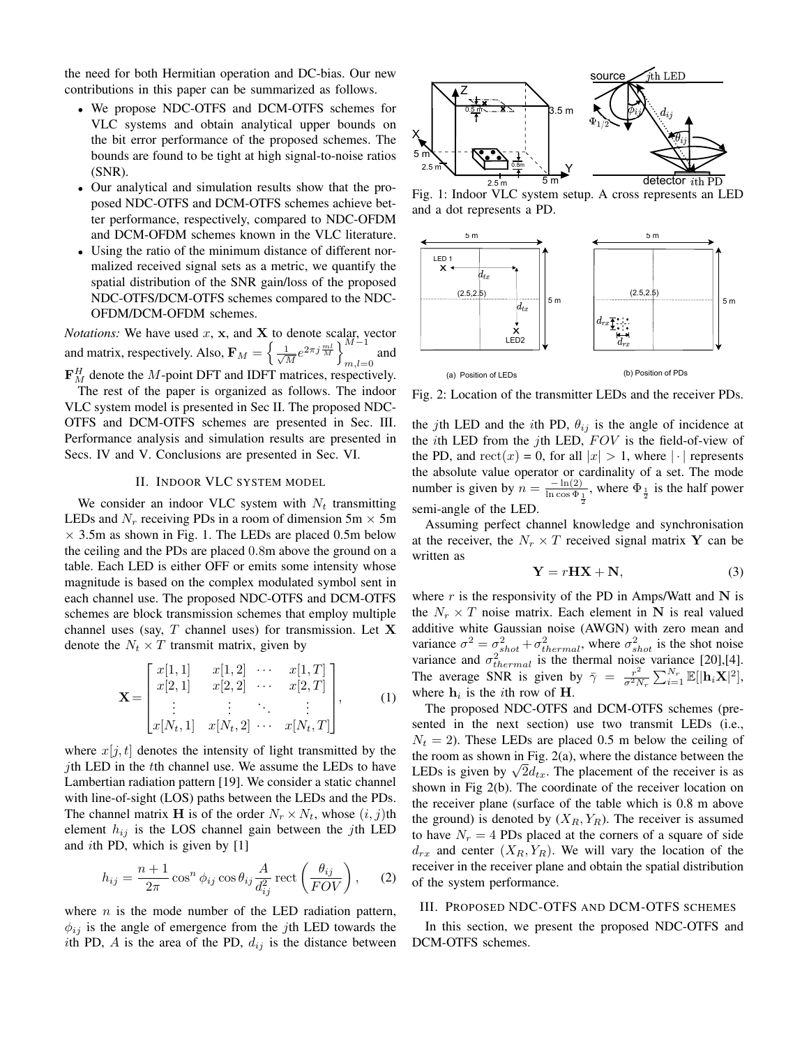the need for both Hermitian operation and DC-bias. Our new contributions in this paper can be summarized as follows.

- We propose NDC-OTFS and DCM-OTFS schemes for VLC systems and obtain analytical upper bounds on the bit error performance of the proposed schemes. The bounds are found to be tight at high signal-to-noise ratios (SNR).
- Our analytical and simulation results show that the proposed NDC-OTFS and DCM-OTFS schemes achieve better performance, respectively, compared to NDC-OFDM and DCM-OFDM schemes known in the VLC literature.
- Using the ratio of the minimum distance of different normalized received signal sets as a metric, we quantify the spatial distribution of the SNR gain/loss of the proposed NDC-OTFS/DCM-OTFS schemes compared to the NDC-OFDM/DCM-OFDM schemes.

*Notations:* We have used x, x, and **X** to denote scalar, vector and matrix, respectively. Also,  $\mathbf{F}_M = \begin{cases} \frac{1}{\sqrt{2}} \end{cases}$  $\frac{1}{\overline{M}}e^{2\pi j\frac{ml}{\overline{M}}}$  $\bigg\}_{m,l=1}^{M-1}$  $m,l=0$ and  ${\bf F}_{M}^{H}$  denote the M-point DFT and IDFT matrices, respectively.

The rest of the paper is organized as follows. The indoor VLC system model is presented in Sec II. The proposed NDC-OTFS and DCM-OTFS schemes are presented in Sec. III. Performance analysis and simulation results are presented in Secs. IV and V. Conclusions are presented in Sec. VI.

# II. INDOOR VLC SYSTEM MODEL

We consider an indoor VLC system with  $N_t$  transmitting LEDs and  $N_r$  receiving PDs in a room of dimension 5m  $\times$  5m  $\times$  3.5m as shown in Fig. 1. The LEDs are placed 0.5m below the ceiling and the PDs are placed 0.8m above the ground on a table. Each LED is either OFF or emits some intensity whose magnitude is based on the complex modulated symbol sent in each channel use. The proposed NDC-OTFS and DCM-OTFS schemes are block transmission schemes that employ multiple channel uses (say,  $T$  channel uses) for transmission. Let  $X$ denote the  $N_t \times T$  transmit matrix, given by ith each internal methods in the space of the contents of the contents of the area of the points.<br>
We propose the energy definition and DCM contents of the points of the energy of the contents of the points of the points

$$
\mathbf{X} = \begin{bmatrix} x[1,1] & x[1,2] & \cdots & x[1,T] \\ x[2,1] & x[2,2] & \cdots & x[2,T] \\ \vdots & \vdots & \ddots & \vdots \\ x[N_t,1] & x[N_t,2] & \cdots & x[N_t,T] \end{bmatrix},
$$
(1)

where  $x[i, t]$  denotes the intensity of light transmitted by the *i*th LED in the  $t$ th channel use. We assume the LEDs to have Lambertian radiation pattern [19]. We consider a static channel with line-of-sight (LOS) paths between the LEDs and the PDs. The channel matrix **H** is of the order  $N_r \times N_t$ , whose  $(i, j)$ th element  $h_{ij}$  is the LOS channel gain between the jth LED and ith PD, which is given by [1]

$$
h_{ij} = \frac{n+1}{2\pi} \cos^n \phi_{ij} \cos \theta_{ij} \frac{A}{d_{ij}^2} \text{rect}\left(\frac{\theta_{ij}}{FOV}\right), \quad (2)
$$

where  $n$  is the mode number of the LED radiation pattern,  $\phi_{ij}$  is the angle of emergence from the jth LED towards the



Fig. 1: Indoor VLC system setup. A cross represents an LED and a dot represents a PD.



Fig. 2: Location of the transmitter LEDs and the receiver PDs.

the jth LED and the ith PD,  $\theta_{ij}$  is the angle of incidence at the *i*th LED from the *j*th LED,  $FOV$  is the field-of-view of the PD, and  $rect(x) = 0$ , for all  $|x| > 1$ , where  $|\cdot|$  represents the absolute value operator or cardinality of a set. The mode number is given by  $n = \frac{-\ln(2)}{\ln \cos \Phi}$  $\frac{-\ln(2)}{\ln \cos \Phi_{\frac{1}{2}}}$ , where  $\Phi_{\frac{1}{2}}$  is the half power semi-angle of the LED.

Assuming perfect channel knowledge and synchronisation at the receiver, the  $N_r \times T$  received signal matrix Y can be written as

$$
Y = rHX + N,\t(3)
$$

where  $r$  is the responsivity of the PD in Amps/Watt and N is the  $N_r \times T$  noise matrix. Each element in N is real valued additive white Gaussian noise (AWGN) with zero mean and variance  $\sigma^2 = \sigma_{shot}^2 + \sigma_{thermal}^2$ , where  $\sigma_{shot}^2$  is the shot noise variance and  $\sigma_{thermal}^2$  is the thermal noise variance [20],[4]. The average SNR is given by  $\bar{\gamma} = \frac{r^2}{\sigma^2 N}$  $\frac{r^2}{\sigma^2 N_r}\sum_{i=1}^{N_r} \mathbb{E}[|{\bf h}_i{\bf X}|^2],$ where  $\mathbf{h}_i$  is the *i*th row of **H**.

The proposed NDC-OTFS and DCM-OTFS schemes (presented in the next section) use two transmit LEDs (i.e.,  $N_t = 2$ ). These LEDs are placed 0.5 m below the ceiling of the room as shown in Fig. 2(a), where the distance between the the room as shown in Fig. 2(a), where the distance between the LEDs is given by  $\sqrt{2}d_{tx}$ . The placement of the receiver is as shown in Fig 2(b). The coordinate of the receiver location on the receiver plane (surface of the table which is 0.8 m above the ground) is denoted by  $(X_R, Y_R)$ . The receiver is assumed to have  $N_r = 4$  PDs placed at the corners of a square of side  $d_{rx}$  and center  $(X_R, Y_R)$ . We will vary the location of the receiver in the receiver plane and obtain the spatial distribution of the system performance.

# III. PROPOSED NDC-OTFS AND DCM-OTFS SCHEMES

In this section, we present the proposed NDC-OTFS and DCM-OTFS schemes.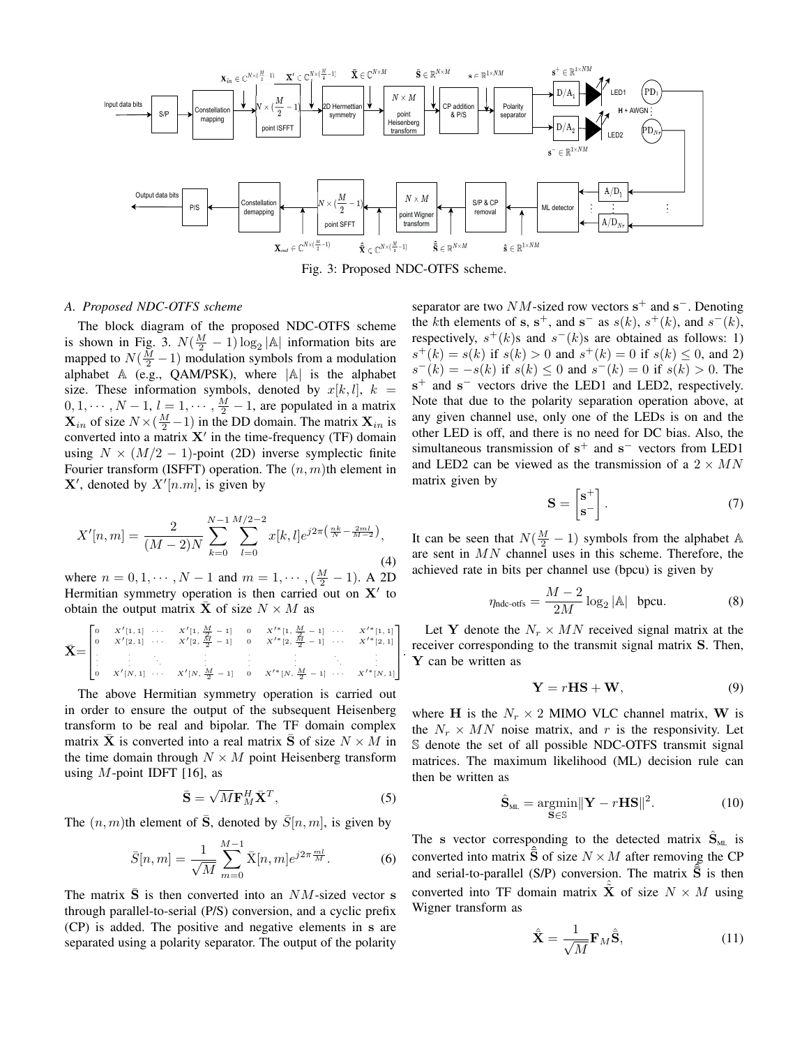

Fig. 3: Proposed NDC-OTFS scheme.

# *A. Proposed NDC-OTFS scheme*

The block diagram of the proposed NDC-OTFS scheme is shown in Fig. 3.  $N(\frac{M}{2} - 1) \log_2 |A|$  information bits are mapped to  $N(\frac{M}{2}-1)$  modulation symbols from a modulation alphabet A (e.g., QAM/PSK), where |A| is the alphabet size. These information symbols, denoted by  $x[k, l]$ ,  $k =$  $0, 1, \dots, N-1, l = 1, \dots, \frac{M}{2} - 1$ , are populated in a matrix  $\mathbf{X}_{in}$  of size  $N \times \left(\frac{M}{2} - 1\right)$  in the DD domain. The matrix  $\mathbf{X}_{in}$  is converted into a matrix  $X'$  in the time-frequency (TF) domain using  $N \times (M/2 - 1)$ -point (2D) inverse symplectic finite Fourier transform (ISFFT) operation. The  $(n, m)$ th element in  $\mathbf{X}'$ , denoted by  $X'[n.m]$ , is given by

$$
X'[n,m] = \frac{2}{(M-2)N} \sum_{k=0}^{N-1} \sum_{l=0}^{M/2-2} x[k,l] e^{j2\pi \left(\frac{nk}{N} - \frac{2ml}{M-2}\right)},\tag{4}
$$

where  $n = 0, 1, \dots, N - 1$  and  $m = 1, \dots, (\frac{M}{2} - 1)$ . A 2D Hermitian symmetry operation is then carried out on  $X'$  to obtain the output matrix **X** of size  $N \times M$  as

$$
\bar{\mathbf{X}} = \begin{bmatrix} 0 & X'[1,1] & \cdots & X'[1, \frac{M}{2} - 1] & 0 & X'^*[1, \frac{M}{2} - 1] & \cdots & X'^*[1,1] \\ 0 & X'[2,1] & \cdots & X'[2, \frac{M}{2} - 1] & 0 & X'^*[2, \frac{M}{2} - 1] & \cdots & X'^*[2,1] \\ \vdots & \vdots & \ddots & \vdots & \vdots & \ddots & \vdots & \vdots \\ 0 & X'[N,1] & \cdots & X'[N, \frac{M}{2} - 1] & 0 & X'^*[N, \frac{M}{2} - 1] & \cdots & X'^*[N,1] \end{bmatrix}.
$$

The above Hermitian symmetry operation is carried out in order to ensure the output of the subsequent Heisenberg transform to be real and bipolar. The TF domain complex matrix  $\bar{\mathbf{X}}$  is converted into a real matrix  $\bar{\mathbf{S}}$  of size  $N \times M$  in the time domain through  $N \times M$  point Heisenberg transform using  $M$ -point IDFT [16], as

$$
\bar{\mathbf{S}} = \sqrt{M}\mathbf{F}_{M}^{H}\bar{\mathbf{X}}^{T},\tag{5}
$$

The  $(n, m)$ th element of  $\overline{S}$ , denoted by  $\overline{S}[n, m]$ , is given by

$$
\bar{S}[n,m] = \frac{1}{\sqrt{M}} \sum_{m=0}^{M-1} \bar{X}[n,m] e^{j2\pi \frac{ml}{M}}.
$$
 (6)

The matrix  $\bar{S}$  is then converted into an  $NM$ -sized vector s through parallel-to-serial (P/S) conversion, and a cyclic prefix (CP) is added. The positive and negative elements in s are separated using a polarity separator. The output of the polarity

separator are two  $NM$ -sized row vectors  $s^+$  and  $s^-$ . Denoting the kth elements of s, s<sup>+</sup>, and s<sup>-</sup> as  $s(k)$ ,  $s^+(k)$ , and  $s^-(k)$ , respectively,  $s^+(k)$ s and  $s^-(k)$ s are obtained as follows: 1)  $s^+(k) = s(k)$  if  $s(k) > 0$  and  $s^+(k) = 0$  if  $s(k) \le 0$ , and 2)  $s^-(k) = -s(k)$  if  $s(k) \leq 0$  and  $s^-(k) = 0$  if  $s(k) > 0$ . The s<sup>+</sup> and s<sup>-</sup> vectors drive the LED1 and LED2, respectively. Note that due to the polarity separation operation above, at any given channel use, only one of the LEDs is on and the other LED is off, and there is no need for DC bias. Also, the simultaneous transmission of  $s^+$  and  $s^-$  vectors from LED1 and LED2 can be viewed as the transmission of a  $2 \times MN$ matrix given by

$$
\mathbf{S} = \begin{bmatrix} \mathbf{s}^+ \\ \mathbf{s}^- \end{bmatrix} . \tag{7}
$$

It can be seen that  $N(\frac{M}{2}-1)$  symbols from the alphabet A are sent in MN channel uses in this scheme. Therefore, the achieved rate in bits per channel use (bpcu) is given by

$$
\eta_{\text{ndc-otts}} = \frac{M-2}{2M} \log_2 |\mathbb{A}| \text{ bpcu.}
$$
 (8)

Let Y denote the  $N_r \times MN$  received signal matrix at the receiver corresponding to the transmit signal matrix S. Then, Y can be written as

$$
Y = rHS + W, \tag{9}
$$

where H is the  $N_r \times 2$  MIMO VLC channel matrix, W is the  $N_r \times MN$  noise matrix, and r is the responsivity. Let S denote the set of all possible NDC-OTFS transmit signal matrices. The maximum likelihood (ML) decision rule can then be written as

$$
\hat{\mathbf{S}}_{ML} = \underset{\mathbf{S} \in \mathbb{S}}{\operatorname{argmin}} ||\mathbf{Y} - r\mathbf{H}\mathbf{S}||^2. \tag{10}
$$

The s vector corresponding to the detected matrix  $\hat{S}_{ML}$  is converted into matrix  $\hat{\bar{S}}$  of size  $N \times M$  after removing the CP and serial-to-parallel (S/P) conversion. The matrix  $\tilde{\tilde{S}}$  is then converted into TF domain matrix  $\hat{\tilde{\mathbf{X}}}$  of size  $N \times M$  using Wigner transform as

$$
\hat{\bar{\mathbf{X}}} = \frac{1}{\sqrt{M}} \mathbf{F}_M \hat{\bar{\mathbf{S}}},\tag{11}
$$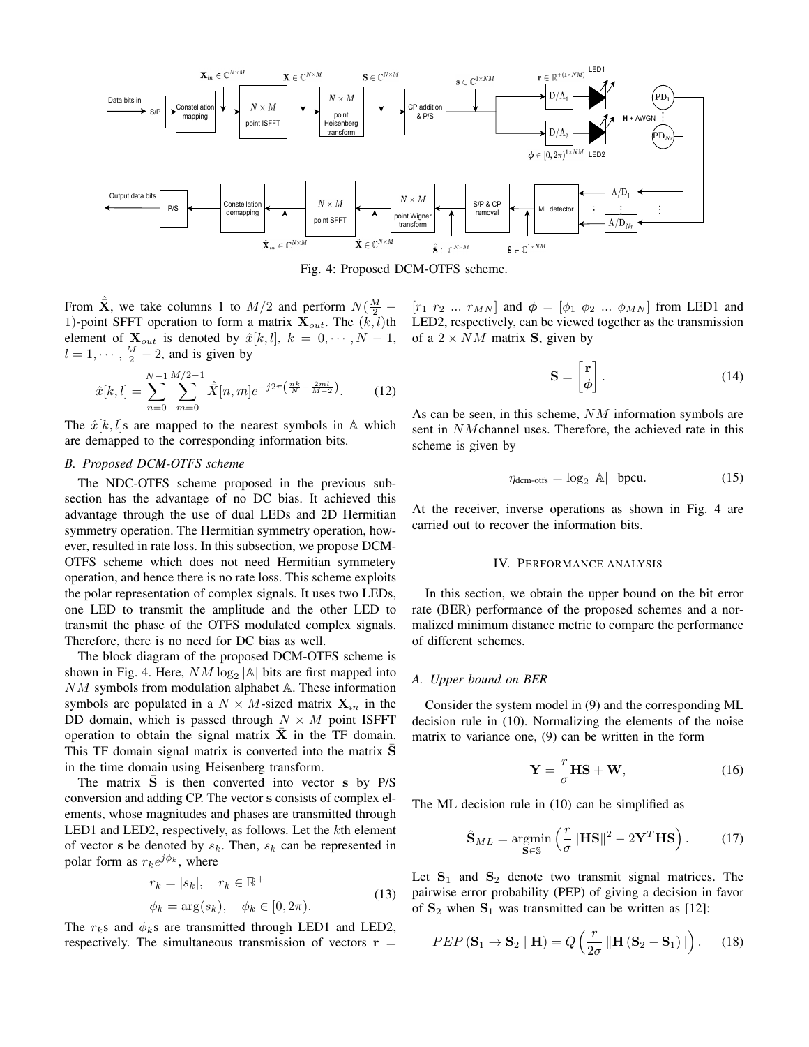

Fig. 4: Proposed DCM-OTFS scheme.

From  $\hat{\mathbf{X}}$ , we take columns 1 to  $M/2$  and perform  $N(\frac{M}{2} -$ 1)-point SFFT operation to form a matrix  $\mathbf{X}_{out}$ . The  $(k, l)$ th LED2, respectively, can be viewed together as the transmission element of  $\mathbf{X}_{out}$  is denoted by  $\hat{x}[k,l], k = 0, \cdots, N-1$ , of a  $2 \times NM$  matrix **S**, given by  $l = 1, \dots, \frac{M}{2} - 2$ , and is given by

$$
\hat{x}[k,l] = \sum_{n=0}^{N-1} \sum_{m=0}^{M/2-1} \hat{\bar{X}}[n,m] e^{-j2\pi \left(\frac{nk}{N} - \frac{2ml}{M-2}\right)}.
$$
 (12)

The  $\hat{x}[k, l]$ s are mapped to the nearest symbols in A which are demapped to the corresponding information bits.

# *B. Proposed DCM-OTFS scheme*

The NDC-OTFS scheme proposed in the previous subsection has the advantage of no DC bias. It achieved this advantage through the use of dual LEDs and 2D Hermitian symmetry operation. The Hermitian symmetry operation, however, resulted in rate loss. In this subsection, we propose DCM-OTFS scheme which does not need Hermitian symmetery operation, and hence there is no rate loss. This scheme exploits the polar representation of complex signals. It uses two LEDs, one LED to transmit the amplitude and the other LED to transmit the phase of the OTFS modulated complex signals. Therefore, there is no need for DC bias as well.

The block diagram of the proposed DCM-OTFS scheme is shown in Fig. 4. Here,  $NM \log_2 |\mathbb{A}|$  bits are first mapped into  $NM$  symbols from modulation alphabet  $A$ . These information symbols are populated in a  $N \times M$ -sized matrix  $\mathbf{X}_{in}$  in the DD domain, which is passed through  $N \times M$  point ISFFT operation to obtain the signal matrix  $\bar{X}$  in the TF domain. This TF domain signal matrix is converted into the matrix  $\overline{S}$ in the time domain using Heisenberg transform.

The matrix  $S$  is then converted into vector s by P/S conversion and adding CP. The vector s consists of complex elements, whose magnitudes and phases are transmitted through LED1 and LED2, respectively, as follows. Let the kth element of vector s be denoted by  $s_k$ . Then,  $s_k$  can be represented in polar form as  $r_k e^{j\phi_k}$ , where

$$
r_k = |s_k|, \quad r_k \in \mathbb{R}^+
$$
  
\n
$$
\phi_k = \arg(s_k), \quad \phi_k \in [0, 2\pi).
$$
\n(13)

The  $r<sub>k</sub>$ s and  $\phi<sub>k</sub>$ s are transmitted through LED1 and LED2, respectively. The simultaneous transmission of vectors  $r =$ 

 $[r_1 \ r_2 \ ... \ r_{MN}]$  and  $\phi = [\phi_1 \ \phi_2 \ ... \ \phi_{MN}]$  from LED1 and

$$
\mathbf{S} = \begin{bmatrix} \mathbf{r} \\ \boldsymbol{\phi} \end{bmatrix} . \tag{14}
$$

As can be seen, in this scheme,  $NM$  information symbols are sent in NMchannel uses. Therefore, the achieved rate in this scheme is given by

$$
\eta_{\text{dem-otts}} = \log_2 |\mathbb{A}| \quad \text{bpcu.} \tag{15}
$$

At the receiver, inverse operations as shown in Fig. 4 are carried out to recover the information bits.

#### IV. PERFORMANCE ANALYSIS

In this section, we obtain the upper bound on the bit error rate (BER) performance of the proposed schemes and a normalized minimum distance metric to compare the performance of different schemes.

## *A. Upper bound on BER*

Consider the system model in (9) and the corresponding ML decision rule in (10). Normalizing the elements of the noise matrix to variance one, (9) can be written in the form

$$
\mathbf{Y} = -\frac{r}{\sigma} \mathbf{H} \mathbf{S} + \mathbf{W},\tag{16}
$$

The ML decision rule in (10) can be simplified as

$$
\hat{\mathbf{S}}_{ML} = \underset{\mathbf{S} \in \mathbb{S}}{\operatorname{argmin}} \left( \frac{r}{\sigma} \|\mathbf{H}\mathbf{S}\|^2 - 2\mathbf{Y}^T \mathbf{H}\mathbf{S} \right). \tag{17}
$$

Let  $S_1$  and  $S_2$  denote two transmit signal matrices. The pairwise error probability (PEP) of giving a decision in favor of  $S_2$  when  $S_1$  was transmitted can be written as [12]:

$$
PEP\left(\mathbf{S}_{1} \rightarrow \mathbf{S}_{2} \mid \mathbf{H}\right) = Q\left(\frac{r}{2\sigma} \left\| \mathbf{H}\left(\mathbf{S}_{2} - \mathbf{S}_{1}\right) \right\| \right). \tag{18}
$$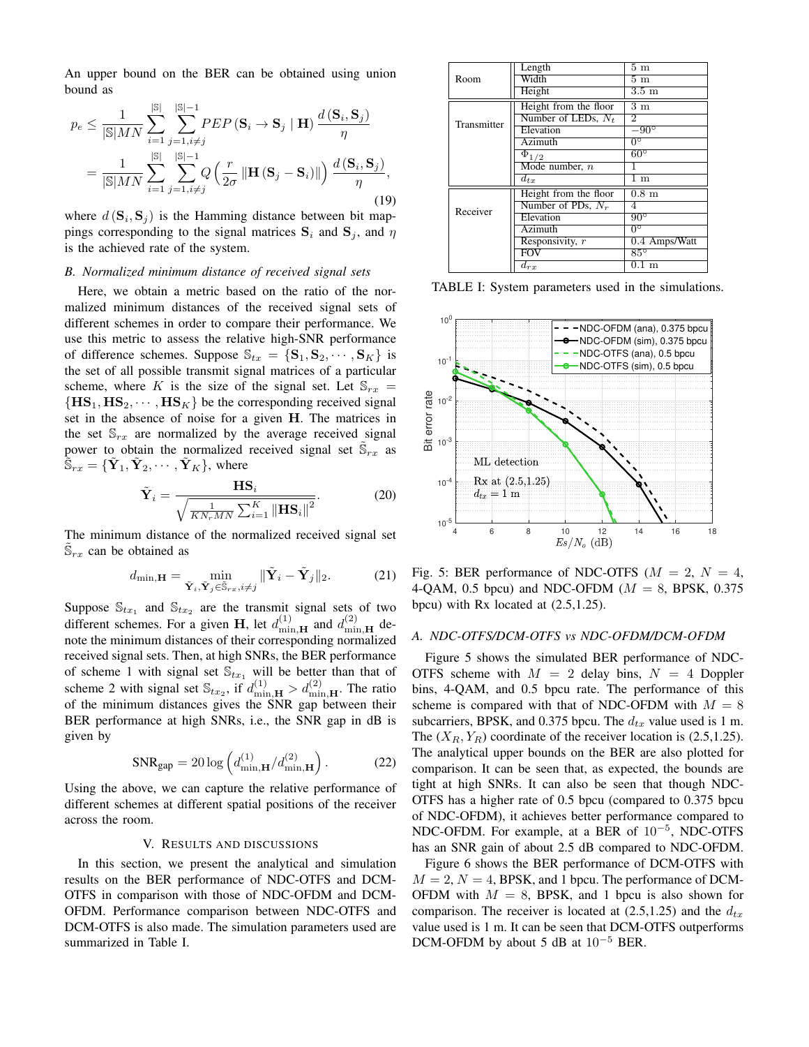An upper bound on the BER can be obtained using union bound as

$$
p_e \leq \frac{1}{|\mathbb{S}|MN} \sum_{i=1}^{|\mathbb{S}|} \sum_{j=1, i \neq j}^{|\mathbb{S}|-1} PEP\left(\mathbf{S}_i \to \mathbf{S}_j \mid \mathbf{H}\right) \frac{d\left(\mathbf{S}_i, \mathbf{S}_j\right)}{\eta}
$$

$$
= \frac{1}{|\mathbb{S}|MN} \sum_{i=1}^{|\mathbb{S}|} \sum_{j=1, i \neq j}^{|\mathbb{S}|-1} Q\left(\frac{r}{2\sigma} \left\| \mathbf{H}\left(\mathbf{S}_j - \mathbf{S}_i\right) \right\|\right) \frac{d\left(\mathbf{S}_i, \mathbf{S}_j\right)}{\eta},\tag{19}
$$

where  $d(\mathbf{S}_i, \mathbf{S}_j)$  is the Hamming distance between bit mappings corresponding to the signal matrices  $S_i$  and  $S_j$ , and  $\eta$ is the achieved rate of the system.

## *B. Normalized minimum distance of received signal sets*

Here, we obtain a metric based on the ratio of the normalized minimum distances of the received signal sets of different schemes in order to compare their performance. We use this metric to assess the relative high-SNR performance of difference schemes. Suppose  $\mathbb{S}_{tx} = \{ \mathbf{S}_1, \mathbf{S}_2, \cdots, \mathbf{S}_K \}$  is the set of all possible transmit signal matrices of a particular scheme, where K is the size of the signal set. Let  $\mathbb{S}_{rx}$  =  ${H}S_1, HS_2, \cdots, HS_K$  be the corresponding received signal set in the absence of noise for a given H. The matrices in the set  $\mathbb{S}_{rx}$  are normalized by the average received signal power to obtain the normalized received signal set  $\tilde{\mathbb{S}}_{rx}$  as  $\tilde{\mathbb{S}}_{rx} = {\{\tilde{\mathbf{Y}}_1,\tilde{\mathbf{Y}}_2,\cdots,\tilde{\mathbf{Y}}_K\}}$ , where

$$
\tilde{\mathbf{Y}}_{i} = \frac{\mathbf{H}\mathbf{S}_{i}}{\sqrt{\frac{1}{KN_{r}MN}\sum_{i=1}^{K}||\mathbf{H}\mathbf{S}_{i}||}^{2}}.
$$
 (20)

The minimum distance of the normalized received signal set  $\tilde{\mathbb{S}}_{rx}$  can be obtained as

$$
d_{\min, \mathbf{H}} = \min_{\tilde{\mathbf{Y}}_i, \tilde{\mathbf{Y}}_j \in \tilde{\mathbb{S}}_{rs}, i \neq j} \|\tilde{\mathbf{Y}}_i - \tilde{\mathbf{Y}}_j\|_2.
$$
 (21)

Suppose  $\mathbb{S}_{tx_1}$  and  $\mathbb{S}_{tx_2}$  are the transmit signal sets of two different schemes. For a given **H**, let  $d_{\min,\mathbf{H}}^{(1)}$  and  $d_{\min,\mathbf{H}}^{(2)}$  denote the minimum distances of their corresponding normalized received signal sets. Then, at high SNRs, the BER performance of scheme 1 with signal set  $\mathbb{S}_{tx_1}$  will be better than that of scheme 2 with signal set  $\mathbb{S}_{tx_2}$ , if  $d_{\min,\mathbf{H}}^{(1)} > d_{\min,\mathbf{H}}^{(2)}$ . The ratio of the minimum distances gives the SNR gap between their BER performance at high SNRs, i.e., the SNR gap in dB is given by

$$
SNR_{\text{gap}} = 20 \log \left( d_{\text{min}, \mathbf{H}}^{(1)} / d_{\text{min}, \mathbf{H}}^{(2)} \right). \tag{22}
$$

Using the above, we can capture the relative performance of different schemes at different spatial positions of the receiver across the room.

## V. RESULTS AND DISCUSSIONS

In this section, we present the analytical and simulation results on the BER performance of NDC-OTFS and DCM-OTFS in comparison with those of NDC-OFDM and DCM-OFDM. Performance comparison between NDC-OTFS and DCM-OTFS is also made. The simulation parameters used are summarized in Table I.

| Room        | Length                | 5m                     |
|-------------|-----------------------|------------------------|
|             | Width                 | 5m                     |
|             | Height                | $3.5 \text{ m}$        |
| Transmitter | Height from the floor | 3 <sub>m</sub>         |
|             | Number of LEDs, $N_t$ | $\overline{2}$         |
|             | Elevation             | $-90^\circ$            |
|             | Azimuth               | 0 <sup>o</sup>         |
|             | $\Phi_{1/2}$          | $60^{\circ}$           |
|             | Mode number, $n$      |                        |
|             | $d_{tx}$              | $1 \; \mathrm{m}$      |
| Receiver    | Height from the floor | $0.8~\mathrm{m}$       |
|             | Number of PDs, $N_r$  | 4                      |
|             | Elevation             | $90^{\circ}$           |
|             | Azimuth               | $\overline{0^{\circ}}$ |
|             | Responsivity, $r$     | 0.4 Amps/Watt          |
|             | <b>FOV</b>            | $85^\circ$             |
|             | $a_{rx}$              | $0.1~\mathrm{m}$       |

TABLE I: System parameters used in the simulations.



Fig. 5: BER performance of NDC-OTFS ( $M = 2$ ,  $N = 4$ , 4-QAM, 0.5 bpcu) and NDC-OFDM ( $M = 8$ , BPSK, 0.375 bpcu) with Rx located at (2.5,1.25).

# *A. NDC-OTFS/DCM-OTFS vs NDC-OFDM/DCM-OFDM*

Figure 5 shows the simulated BER performance of NDC-OTFS scheme with  $M = 2$  delay bins,  $N = 4$  Doppler bins, 4-QAM, and 0.5 bpcu rate. The performance of this scheme is compared with that of NDC-OFDM with  $M = 8$ subcarriers, BPSK, and 0.375 bpcu. The  $d_{tx}$  value used is 1 m. The  $(X_R, Y_R)$  coordinate of the receiver location is (2.5,1.25). The analytical upper bounds on the BER are also plotted for comparison. It can be seen that, as expected, the bounds are tight at high SNRs. It can also be seen that though NDC-OTFS has a higher rate of 0.5 bpcu (compared to 0.375 bpcu of NDC-OFDM), it achieves better performance compared to NDC-OFDM. For example, at a BER of 10<sup>-5</sup>, NDC-OTFS has an SNR gain of about 2.5 dB compared to NDC-OFDM.

Figure 6 shows the BER performance of DCM-OTFS with  $M = 2$ ,  $N = 4$ , BPSK, and 1 bpcu. The performance of DCM-OFDM with  $M = 8$ , BPSK, and 1 bpcu is also shown for comparison. The receiver is located at  $(2.5,1.25)$  and the  $d_{tx}$ value used is 1 m. It can be seen that DCM-OTFS outperforms DCM-OFDM by about 5 dB at  $10^{-5}$  BER.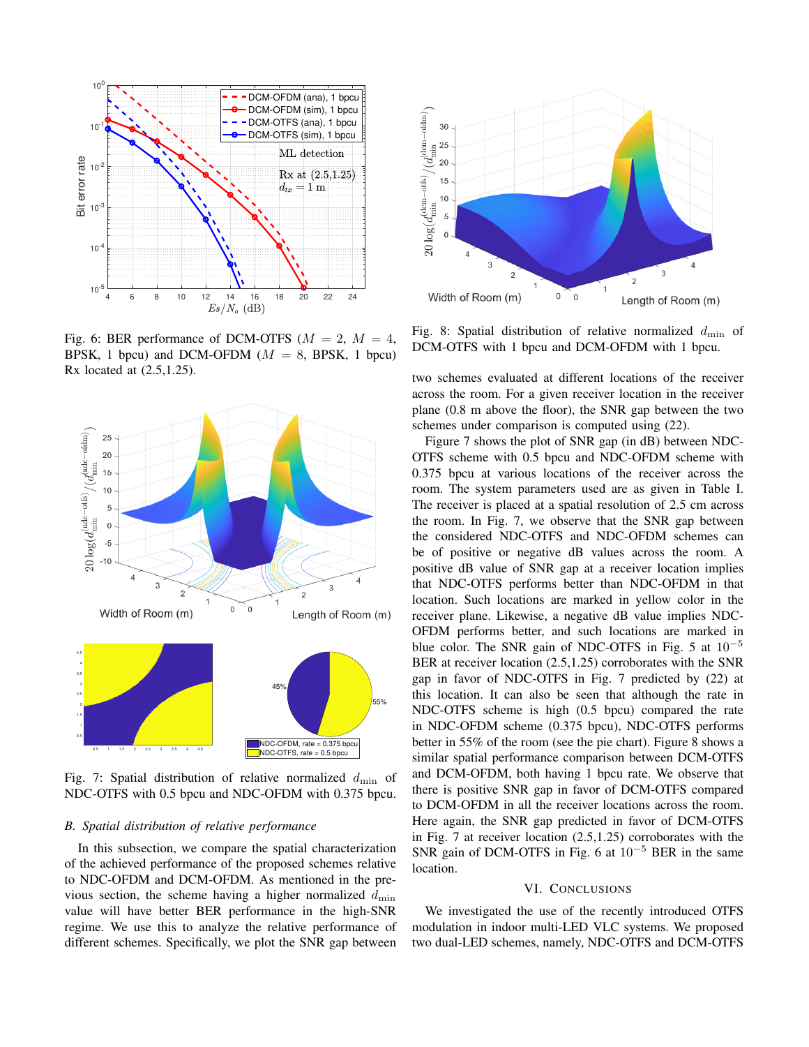

Fig. 6: BER performance of DCM-OTFS ( $M = 2$ ,  $M = 4$ , BPSK, 1 bpcu) and DCM-OFDM ( $M = 8$ , BPSK, 1 bpcu) Rx located at (2.5,1.25).



Fig. 7: Spatial distribution of relative normalized  $d_{\text{min}}$  of NDC-OTFS with 0.5 bpcu and NDC-OFDM with 0.375 bpcu.

## *B. Spatial distribution of relative performance*

In this subsection, we compare the spatial characterization of the achieved performance of the proposed schemes relative to NDC-OFDM and DCM-OFDM. As mentioned in the previous section, the scheme having a higher normalized  $d_{\min}$ value will have better BER performance in the high-SNR regime. We use this to analyze the relative performance of different schemes. Specifically, we plot the SNR gap between



Fig. 8: Spatial distribution of relative normalized  $d_{\text{min}}$  of DCM-OTFS with 1 bpcu and DCM-OFDM with 1 bpcu.

two schemes evaluated at different locations of the receiver across the room. For a given receiver location in the receiver plane (0.8 m above the floor), the SNR gap between the two schemes under comparison is computed using (22).

Figure 7 shows the plot of SNR gap (in dB) between NDC-OTFS scheme with 0.5 bpcu and NDC-OFDM scheme with 0.375 bpcu at various locations of the receiver across the room. The system parameters used are as given in Table I. The receiver is placed at a spatial resolution of 2.5 cm across the room. In Fig. 7, we observe that the SNR gap between the considered NDC-OTFS and NDC-OFDM schemes can be of positive or negative dB values across the room. A positive dB value of SNR gap at a receiver location implies that NDC-OTFS performs better than NDC-OFDM in that location. Such locations are marked in yellow color in the receiver plane. Likewise, a negative dB value implies NDC-OFDM performs better, and such locations are marked in blue color. The SNR gain of NDC-OTFS in Fig. 5 at  $10^{-5}$ BER at receiver location (2.5,1.25) corroborates with the SNR gap in favor of NDC-OTFS in Fig. 7 predicted by (22) at this location. It can also be seen that although the rate in NDC-OTFS scheme is high (0.5 bpcu) compared the rate in NDC-OFDM scheme (0.375 bpcu), NDC-OTFS performs better in 55% of the room (see the pie chart). Figure 8 shows a similar spatial performance comparison between DCM-OTFS and DCM-OFDM, both having 1 bpcu rate. We observe that there is positive SNR gap in favor of DCM-OTFS compared to DCM-OFDM in all the receiver locations across the room. Here again, the SNR gap predicted in favor of DCM-OTFS in Fig. 7 at receiver location (2.5,1.25) corroborates with the SNR gain of DCM-OTFS in Fig. 6 at  $10^{-5}$  BER in the same location.

## VI. CONCLUSIONS

We investigated the use of the recently introduced OTFS modulation in indoor multi-LED VLC systems. We proposed two dual-LED schemes, namely, NDC-OTFS and DCM-OTFS